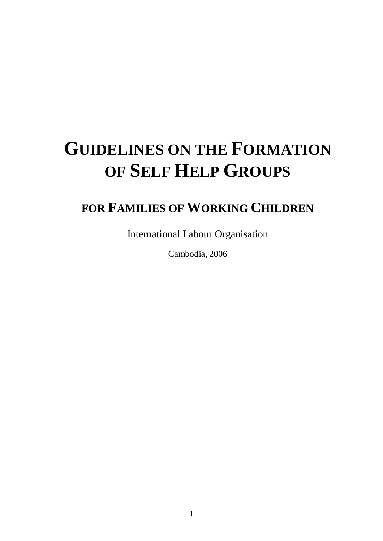# **GUIDELINES ON THE FORMATION OF SELF HELP GROUPS**

## **FOR FAMILIES OF WORKING CHILDREN**

International Labour Organisation

Cambodia, 2006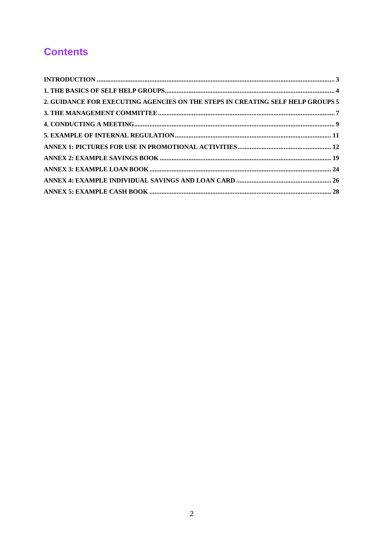## **Contents**

| 2. GUIDANCE FOR EXECUTING AGENCIES ON THE STEPS IN CREATING SELF HELP GROUPS 5 |  |
|--------------------------------------------------------------------------------|--|
|                                                                                |  |
|                                                                                |  |
|                                                                                |  |
|                                                                                |  |
|                                                                                |  |
|                                                                                |  |
|                                                                                |  |
|                                                                                |  |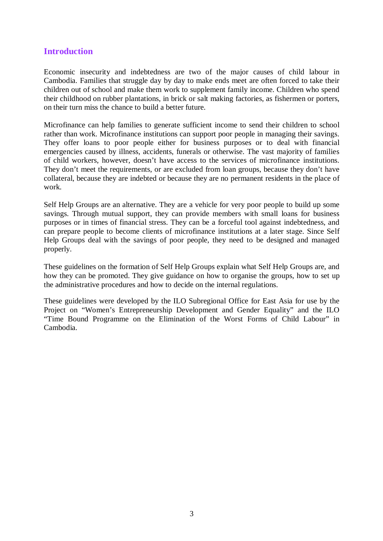#### **Introduction**

Economic insecurity and indebtedness are two of the major causes of child labour in Cambodia. Families that struggle day by day to make ends meet are often forced to take their children out of school and make them work to supplement family income. Children who spend their childhood on rubber plantations, in brick or salt making factories, as fishermen or porters, on their turn miss the chance to build a better future.

Microfinance can help families to generate sufficient income to send their children to school rather than work. Microfinance institutions can support poor people in managing their savings. They offer loans to poor people either for business purposes or to deal with financial emergencies caused by illness, accidents, funerals or otherwise. The vast majority of families of child workers, however, doesn't have access to the services of microfinance institutions. They don't meet the requirements, or are excluded from loan groups, because they don't have collateral, because they are indebted or because they are no permanent residents in the place of work.

Self Help Groups are an alternative. They are a vehicle for very poor people to build up some savings. Through mutual support, they can provide members with small loans for business purposes or in times of financial stress. They can be a forceful tool against indebtedness, and can prepare people to become clients of microfinance institutions at a later stage. Since Self Help Groups deal with the savings of poor people, they need to be designed and managed properly.

These guidelines on the formation of Self Help Groups explain what Self Help Groups are, and how they can be promoted. They give guidance on how to organise the groups, how to set up the administrative procedures and how to decide on the internal regulations.

These guidelines were developed by the ILO Subregional Office for East Asia for use by the Project on "Women's Entrepreneurship Development and Gender Equality" and the ILO "Time Bound Programme on the Elimination of the Worst Forms of Child Labour" in Cambodia.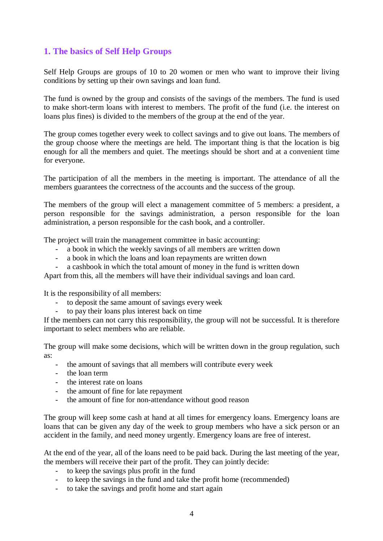### **1. The basics of Self Help Groups**

Self Help Groups are groups of 10 to 20 women or men who want to improve their living conditions by setting up their own savings and loan fund.

The fund is owned by the group and consists of the savings of the members. The fund is used to make short-term loans with interest to members. The profit of the fund (i.e. the interest on loans plus fines) is divided to the members of the group at the end of the year.

The group comes together every week to collect savings and to give out loans. The members of the group choose where the meetings are held. The important thing is that the location is big enough for all the members and quiet. The meetings should be short and at a convenient time for everyone.

The participation of all the members in the meeting is important. The attendance of all the members guarantees the correctness of the accounts and the success of the group.

The members of the group will elect a management committee of 5 members: a president, a person responsible for the savings administration, a person responsible for the loan administration, a person responsible for the cash book, and a controller.

The project will train the management committee in basic accounting:

- a book in which the weekly savings of all members are written down
- a book in which the loans and loan repayments are written down
- a cashbook in which the total amount of money in the fund is written down

Apart from this, all the members will have their individual savings and loan card.

It is the responsibility of all members:

- to deposit the same amount of savings every week
- to pay their loans plus interest back on time

If the members can not carry this responsibility, the group will not be successful. It is therefore important to select members who are reliable.

The group will make some decisions, which will be written down in the group regulation, such as:

- the amount of savings that all members will contribute every week
- the loan term
- the interest rate on loans
- the amount of fine for late repayment
- the amount of fine for non-attendance without good reason

The group will keep some cash at hand at all times for emergency loans. Emergency loans are loans that can be given any day of the week to group members who have a sick person or an accident in the family, and need money urgently. Emergency loans are free of interest.

At the end of the year, all of the loans need to be paid back. During the last meeting of the year, the members will receive their part of the profit. They can jointly decide:

- to keep the savings plus profit in the fund
- to keep the savings in the fund and take the profit home (recommended)
- to take the savings and profit home and start again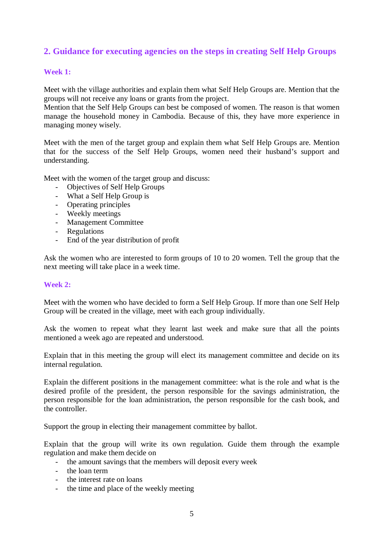### **2. Guidance for executing agencies on the steps in creating Self Help Groups**

#### **Week 1:**

Meet with the village authorities and explain them what Self Help Groups are. Mention that the groups will not receive any loans or grants from the project.

Mention that the Self Help Groups can best be composed of women. The reason is that women manage the household money in Cambodia. Because of this, they have more experience in managing money wisely.

Meet with the men of the target group and explain them what Self Help Groups are. Mention that for the success of the Self Help Groups, women need their husband's support and understanding.

Meet with the women of the target group and discuss:

- Objectives of Self Help Groups
- What a Self Help Group is
- Operating principles
- Weekly meetings
- Management Committee
- Regulations
- End of the year distribution of profit

Ask the women who are interested to form groups of 10 to 20 women. Tell the group that the next meeting will take place in a week time.

#### **Week 2:**

Meet with the women who have decided to form a Self Help Group. If more than one Self Help Group will be created in the village, meet with each group individually.

Ask the women to repeat what they learnt last week and make sure that all the points mentioned a week ago are repeated and understood.

Explain that in this meeting the group will elect its management committee and decide on its internal regulation.

Explain the different positions in the management committee: what is the role and what is the desired profile of the president, the person responsible for the savings administration, the person responsible for the loan administration, the person responsible for the cash book, and the controller.

Support the group in electing their management committee by ballot.

Explain that the group will write its own regulation. Guide them through the example regulation and make them decide on

- the amount savings that the members will deposit every week
- the loan term
- the interest rate on loans
- the time and place of the weekly meeting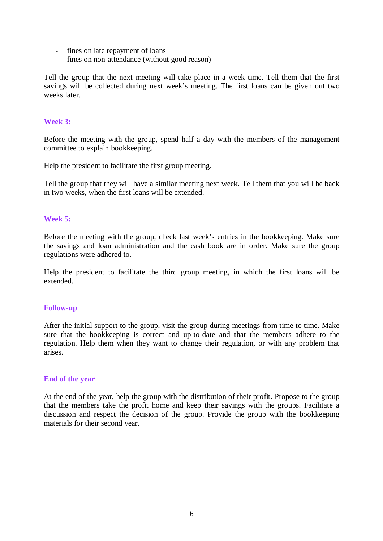- fines on late repayment of loans
- fines on non-attendance (without good reason)

Tell the group that the next meeting will take place in a week time. Tell them that the first savings will be collected during next week's meeting. The first loans can be given out two weeks later

#### **Week 3:**

Before the meeting with the group, spend half a day with the members of the management committee to explain bookkeeping.

Help the president to facilitate the first group meeting.

Tell the group that they will have a similar meeting next week. Tell them that you will be back in two weeks, when the first loans will be extended.

#### **Week 5:**

Before the meeting with the group, check last week's entries in the bookkeeping. Make sure the savings and loan administration and the cash book are in order. Make sure the group regulations were adhered to.

Help the president to facilitate the third group meeting, in which the first loans will be extended.

#### **Follow-up**

After the initial support to the group, visit the group during meetings from time to time. Make sure that the bookkeeping is correct and up-to-date and that the members adhere to the regulation. Help them when they want to change their regulation, or with any problem that arises.

#### **End of the year**

At the end of the year, help the group with the distribution of their profit. Propose to the group that the members take the profit home and keep their savings with the groups. Facilitate a discussion and respect the decision of the group. Provide the group with the bookkeeping materials for their second year.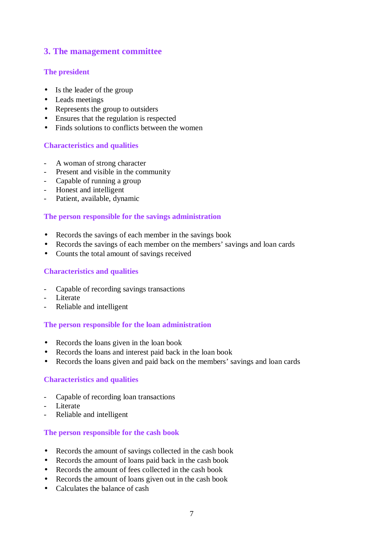### **3. The management committee**

#### **The president**

- Is the leader of the group
- Leads meetings
- Represents the group to outsiders
- Ensures that the regulation is respected
- Finds solutions to conflicts between the women

#### **Characteristics and qualities**

- A woman of strong character
- Present and visible in the community
- Capable of running a group
- Honest and intelligent
- Patient, available, dynamic

#### **The person responsible for the savings administration**

- Records the savings of each member in the savings book
- Records the savings of each member on the members' savings and loan cards
- Counts the total amount of savings received

#### **Characteristics and qualities**

- Capable of recording savings transactions
- Literate
- Reliable and intelligent

#### **The person responsible for the loan administration**

- Records the loans given in the loan book
- Records the loans and interest paid back in the loan book
- Records the loans given and paid back on the members' savings and loan cards

#### **Characteristics and qualities**

- Capable of recording loan transactions
- Literate
- Reliable and intelligent

#### **The person responsible for the cash book**

- Records the amount of savings collected in the cash book
- Records the amount of loans paid back in the cash book
- Records the amount of fees collected in the cash book
- Records the amount of loans given out in the cash book
- Calculates the balance of cash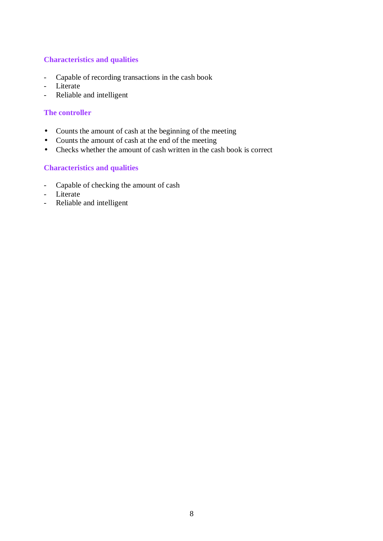#### **Characteristics and qualities**

- Capable of recording transactions in the cash book
- Literate
- Reliable and intelligent

#### **The controller**

- Counts the amount of cash at the beginning of the meeting
- Counts the amount of cash at the end of the meeting
- Checks whether the amount of cash written in the cash book is correct

#### **Characteristics and qualities**

- Capable of checking the amount of cash
- Literate
- Reliable and intelligent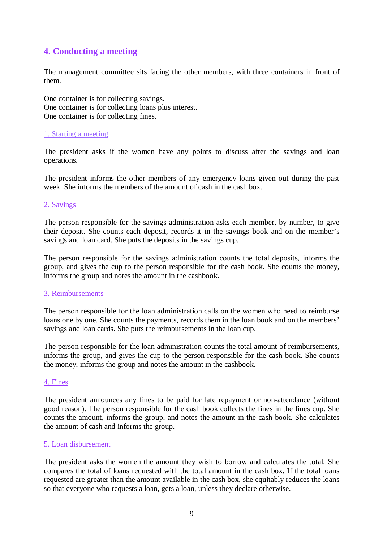### **4. Conducting a meeting**

The management committee sits facing the other members, with three containers in front of them.

One container is for collecting savings. One container is for collecting loans plus interest. One container is for collecting fines.

#### 1. Starting a meeting

The president asks if the women have any points to discuss after the savings and loan operations.

The president informs the other members of any emergency loans given out during the past week. She informs the members of the amount of cash in the cash box.

#### 2. Savings

The person responsible for the savings administration asks each member, by number, to give their deposit. She counts each deposit, records it in the savings book and on the member's savings and loan card. She puts the deposits in the savings cup.

The person responsible for the savings administration counts the total deposits, informs the group, and gives the cup to the person responsible for the cash book. She counts the money, informs the group and notes the amount in the cashbook.

#### 3. Reimbursements

The person responsible for the loan administration calls on the women who need to reimburse loans one by one. She counts the payments, records them in the loan book and on the members' savings and loan cards. She puts the reimbursements in the loan cup.

The person responsible for the loan administration counts the total amount of reimbursements, informs the group, and gives the cup to the person responsible for the cash book. She counts the money, informs the group and notes the amount in the cashbook.

#### 4. Fines

The president announces any fines to be paid for late repayment or non-attendance (without good reason). The person responsible for the cash book collects the fines in the fines cup. She counts the amount, informs the group, and notes the amount in the cash book. She calculates the amount of cash and informs the group.

#### 5. Loan disbursement

The president asks the women the amount they wish to borrow and calculates the total. She compares the total of loans requested with the total amount in the cash box. If the total loans requested are greater than the amount available in the cash box, she equitably reduces the loans so that everyone who requests a loan, gets a loan, unless they declare otherwise.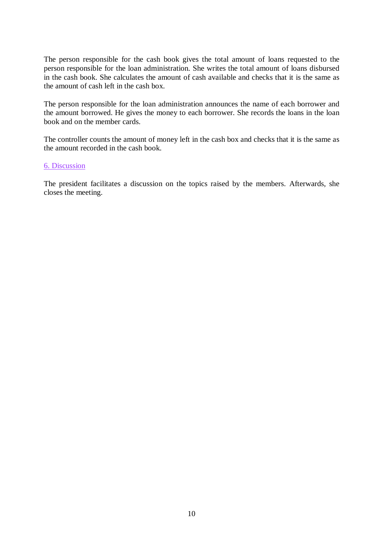The person responsible for the cash book gives the total amount of loans requested to the person responsible for the loan administration. She writes the total amount of loans disbursed in the cash book. She calculates the amount of cash available and checks that it is the same as the amount of cash left in the cash box.

The person responsible for the loan administration announces the name of each borrower and the amount borrowed. He gives the money to each borrower. She records the loans in the loan book and on the member cards.

The controller counts the amount of money left in the cash box and checks that it is the same as the amount recorded in the cash book.

#### 6. Discussion

The president facilitates a discussion on the topics raised by the members. Afterwards, she closes the meeting.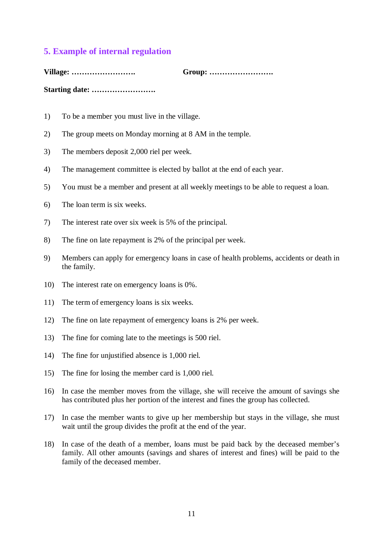#### **5. Example of internal regulation**

**Village: ……………………. Group: …………………….** 

**Starting date: …………………….** 

- 1) To be a member you must live in the village.
- 2) The group meets on Monday morning at 8 AM in the temple.
- 3) The members deposit 2,000 riel per week.
- 4) The management committee is elected by ballot at the end of each year.
- 5) You must be a member and present at all weekly meetings to be able to request a loan.
- 6) The loan term is six weeks.
- 7) The interest rate over six week is 5% of the principal.
- 8) The fine on late repayment is 2% of the principal per week.
- 9) Members can apply for emergency loans in case of health problems, accidents or death in the family.
- 10) The interest rate on emergency loans is 0%.
- 11) The term of emergency loans is six weeks.
- 12) The fine on late repayment of emergency loans is 2% per week.
- 13) The fine for coming late to the meetings is 500 riel.
- 14) The fine for unjustified absence is 1,000 riel.
- 15) The fine for losing the member card is 1,000 riel.
- 16) In case the member moves from the village, she will receive the amount of savings she has contributed plus her portion of the interest and fines the group has collected.
- 17) In case the member wants to give up her membership but stays in the village, she must wait until the group divides the profit at the end of the year.
- 18) In case of the death of a member, loans must be paid back by the deceased member's family. All other amounts (savings and shares of interest and fines) will be paid to the family of the deceased member.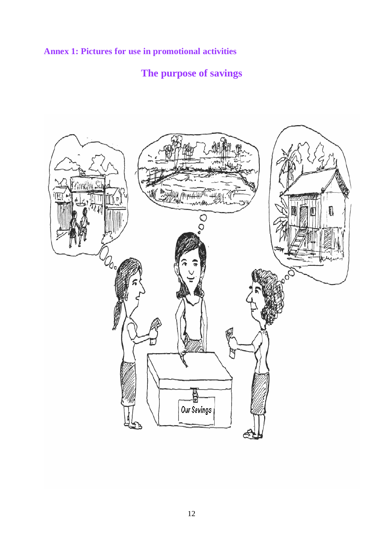**Annex 1: Pictures for use in promotional activities**

## **The purpose of savings**

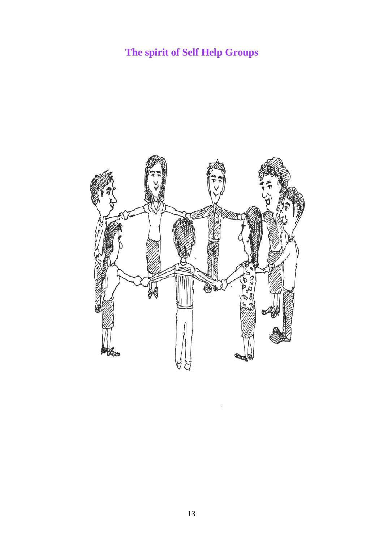## **The spirit of Self Help Groups**

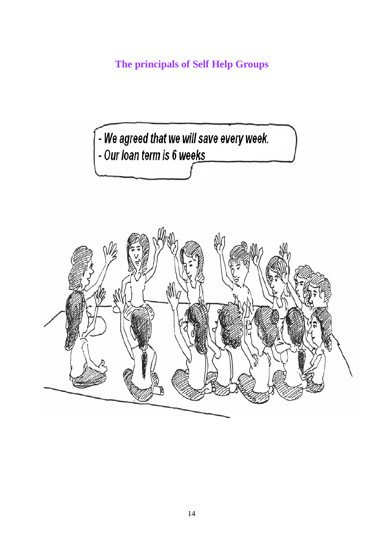**The principals of Self Help Groups** 

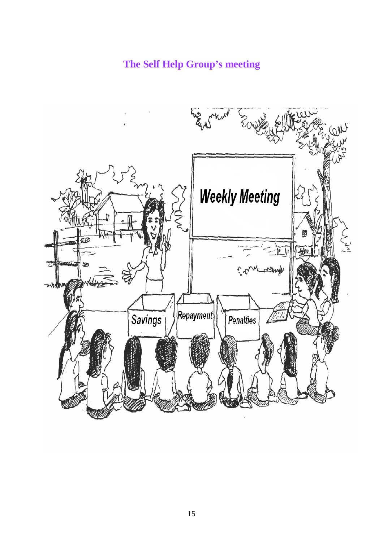## **The Self Help Group's meeting**

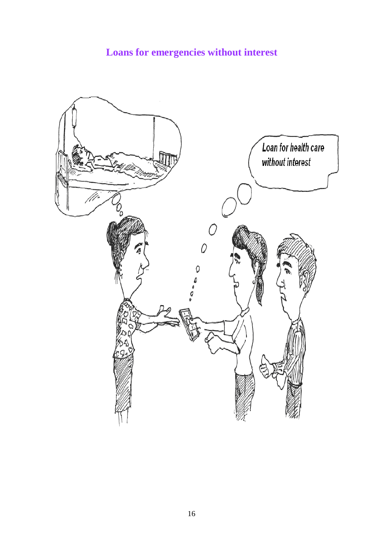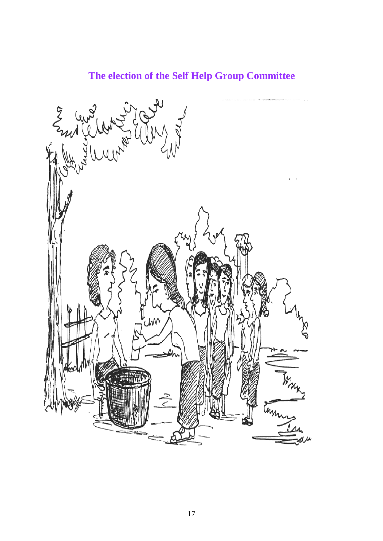## **The election of the Self Help Group Committee**

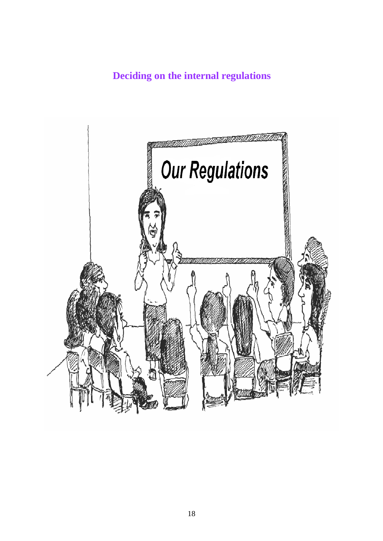## **Deciding on the internal regulations**

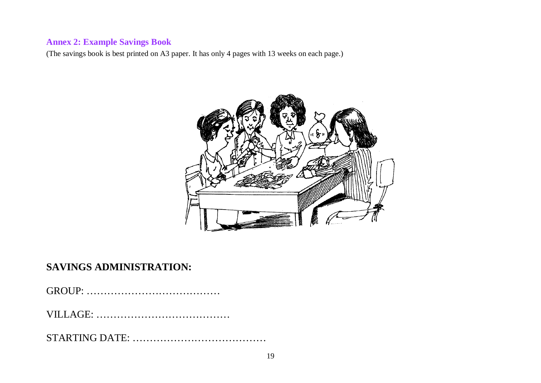### **Annex 2: Example Savings Book**

(The savings book is best printed on A3 paper. It has only 4 pages with 13 weeks on each page.)



## **SAVINGS ADMINISTRATION:**

VILLAGE: …………………………………

STARTING DATE: …………………………………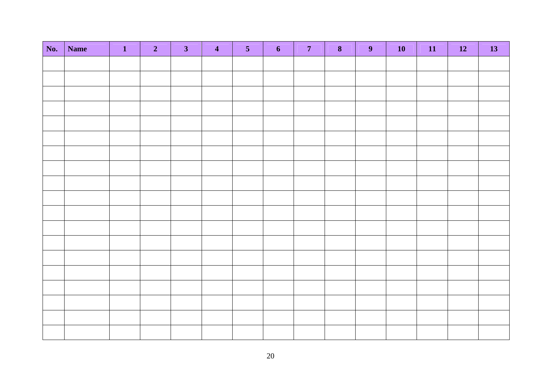| No. | Name | $\blacksquare$<br>Т | $\overline{2}$ | 3 <sup>1</sup> | $\overline{\mathbf{4}}$ | 5 <sup>1</sup> | $\overline{\mathbf{6}}$ | 7 <sup>7</sup> | $\bf{8}$ | 9 <sup>°</sup> | 10 | 11 | <b>12</b> | <b>13</b> |
|-----|------|---------------------|----------------|----------------|-------------------------|----------------|-------------------------|----------------|----------|----------------|----|----|-----------|-----------|
|     |      |                     |                |                |                         |                |                         |                |          |                |    |    |           |           |
|     |      |                     |                |                |                         |                |                         |                |          |                |    |    |           |           |
|     |      |                     |                |                |                         |                |                         |                |          |                |    |    |           |           |
|     |      |                     |                |                |                         |                |                         |                |          |                |    |    |           |           |
|     |      |                     |                |                |                         |                |                         |                |          |                |    |    |           |           |
|     |      |                     |                |                |                         |                |                         |                |          |                |    |    |           |           |
|     |      |                     |                |                |                         |                |                         |                |          |                |    |    |           |           |
|     |      |                     |                |                |                         |                |                         |                |          |                |    |    |           |           |
|     |      |                     |                |                |                         |                |                         |                |          |                |    |    |           |           |
|     |      |                     |                |                |                         |                |                         |                |          |                |    |    |           |           |
|     |      |                     |                |                |                         |                |                         |                |          |                |    |    |           |           |
|     |      |                     |                |                |                         |                |                         |                |          |                |    |    |           |           |
|     |      |                     |                |                |                         |                |                         |                |          |                |    |    |           |           |
|     |      |                     |                |                |                         |                |                         |                |          |                |    |    |           |           |
|     |      |                     |                |                |                         |                |                         |                |          |                |    |    |           |           |
|     |      |                     |                |                |                         |                |                         |                |          |                |    |    |           |           |
|     |      |                     |                |                |                         |                |                         |                |          |                |    |    |           |           |
|     |      |                     |                |                |                         |                |                         |                |          |                |    |    |           |           |
|     |      |                     |                |                |                         |                |                         |                |          |                |    |    |           |           |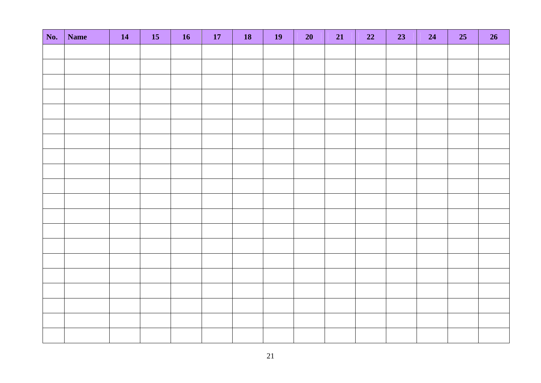| No. | Name | <b>14</b> | <b>15</b> | <b>16</b> | <b>17</b> | <b>18</b> | <b>19</b> | 20 | 21 | 22 | 23 | 24 | 25 | 26 |
|-----|------|-----------|-----------|-----------|-----------|-----------|-----------|----|----|----|----|----|----|----|
|     |      |           |           |           |           |           |           |    |    |    |    |    |    |    |
|     |      |           |           |           |           |           |           |    |    |    |    |    |    |    |
|     |      |           |           |           |           |           |           |    |    |    |    |    |    |    |
|     |      |           |           |           |           |           |           |    |    |    |    |    |    |    |
|     |      |           |           |           |           |           |           |    |    |    |    |    |    |    |
|     |      |           |           |           |           |           |           |    |    |    |    |    |    |    |
|     |      |           |           |           |           |           |           |    |    |    |    |    |    |    |
|     |      |           |           |           |           |           |           |    |    |    |    |    |    |    |
|     |      |           |           |           |           |           |           |    |    |    |    |    |    |    |
|     |      |           |           |           |           |           |           |    |    |    |    |    |    |    |
|     |      |           |           |           |           |           |           |    |    |    |    |    |    |    |
|     |      |           |           |           |           |           |           |    |    |    |    |    |    |    |
|     |      |           |           |           |           |           |           |    |    |    |    |    |    |    |
|     |      |           |           |           |           |           |           |    |    |    |    |    |    |    |
|     |      |           |           |           |           |           |           |    |    |    |    |    |    |    |
|     |      |           |           |           |           |           |           |    |    |    |    |    |    |    |
|     |      |           |           |           |           |           |           |    |    |    |    |    |    |    |
|     |      |           |           |           |           |           |           |    |    |    |    |    |    |    |
|     |      |           |           |           |           |           |           |    |    |    |    |    |    |    |
|     |      |           |           |           |           |           |           |    |    |    |    |    |    |    |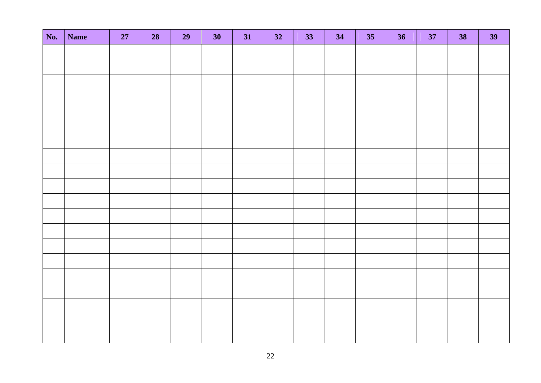| No. | <b>Name</b> | 27 | 28 | 29 | 30 | 31 | 32 | 33 | 34 | 35 | 36 | 37 | 38 | 39 |
|-----|-------------|----|----|----|----|----|----|----|----|----|----|----|----|----|
|     |             |    |    |    |    |    |    |    |    |    |    |    |    |    |
|     |             |    |    |    |    |    |    |    |    |    |    |    |    |    |
|     |             |    |    |    |    |    |    |    |    |    |    |    |    |    |
|     |             |    |    |    |    |    |    |    |    |    |    |    |    |    |
|     |             |    |    |    |    |    |    |    |    |    |    |    |    |    |
|     |             |    |    |    |    |    |    |    |    |    |    |    |    |    |
|     |             |    |    |    |    |    |    |    |    |    |    |    |    |    |
|     |             |    |    |    |    |    |    |    |    |    |    |    |    |    |
|     |             |    |    |    |    |    |    |    |    |    |    |    |    |    |
|     |             |    |    |    |    |    |    |    |    |    |    |    |    |    |
|     |             |    |    |    |    |    |    |    |    |    |    |    |    |    |
|     |             |    |    |    |    |    |    |    |    |    |    |    |    |    |
|     |             |    |    |    |    |    |    |    |    |    |    |    |    |    |
|     |             |    |    |    |    |    |    |    |    |    |    |    |    |    |
|     |             |    |    |    |    |    |    |    |    |    |    |    |    |    |
|     |             |    |    |    |    |    |    |    |    |    |    |    |    |    |
|     |             |    |    |    |    |    |    |    |    |    |    |    |    |    |
|     |             |    |    |    |    |    |    |    |    |    |    |    |    |    |
|     |             |    |    |    |    |    |    |    |    |    |    |    |    |    |
|     |             |    |    |    |    |    |    |    |    |    |    |    |    |    |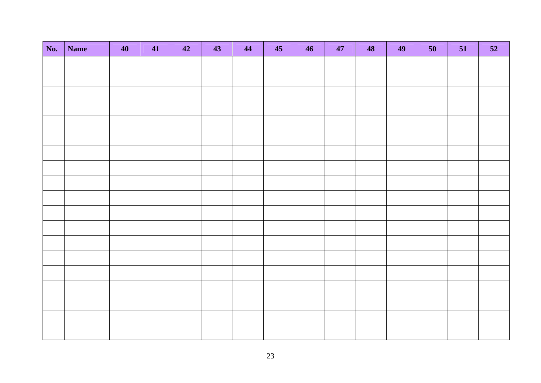| No. | Name | 40 | 41 | 42 | 43 | 44 | 45 | 46 | 47 | 48 | 49 | 50 | 51 | 52 |
|-----|------|----|----|----|----|----|----|----|----|----|----|----|----|----|
|     |      |    |    |    |    |    |    |    |    |    |    |    |    |    |
|     |      |    |    |    |    |    |    |    |    |    |    |    |    |    |
|     |      |    |    |    |    |    |    |    |    |    |    |    |    |    |
|     |      |    |    |    |    |    |    |    |    |    |    |    |    |    |
|     |      |    |    |    |    |    |    |    |    |    |    |    |    |    |
|     |      |    |    |    |    |    |    |    |    |    |    |    |    |    |
|     |      |    |    |    |    |    |    |    |    |    |    |    |    |    |
|     |      |    |    |    |    |    |    |    |    |    |    |    |    |    |
|     |      |    |    |    |    |    |    |    |    |    |    |    |    |    |
|     |      |    |    |    |    |    |    |    |    |    |    |    |    |    |
|     |      |    |    |    |    |    |    |    |    |    |    |    |    |    |
|     |      |    |    |    |    |    |    |    |    |    |    |    |    |    |
|     |      |    |    |    |    |    |    |    |    |    |    |    |    |    |
|     |      |    |    |    |    |    |    |    |    |    |    |    |    |    |
|     |      |    |    |    |    |    |    |    |    |    |    |    |    |    |
|     |      |    |    |    |    |    |    |    |    |    |    |    |    |    |
|     |      |    |    |    |    |    |    |    |    |    |    |    |    |    |
|     |      |    |    |    |    |    |    |    |    |    |    |    |    |    |
|     |      |    |    |    |    |    |    |    |    |    |    |    |    |    |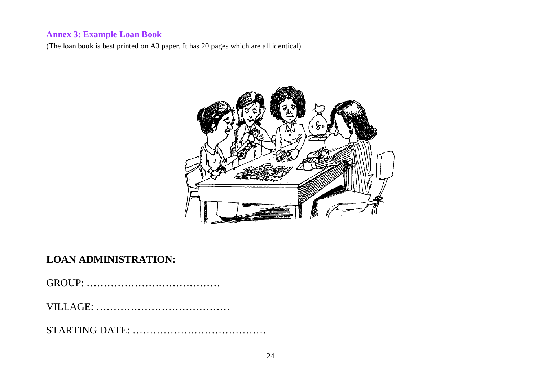## **Annex 3: Example Loan Book**

(The loan book is best printed on A3 paper. It has 20 pages which are all identical)



## **LOAN ADMINISTRATION:**

GROUP: …………………………………

VILLAGE: …………………………………

STARTING DATE: …………………………………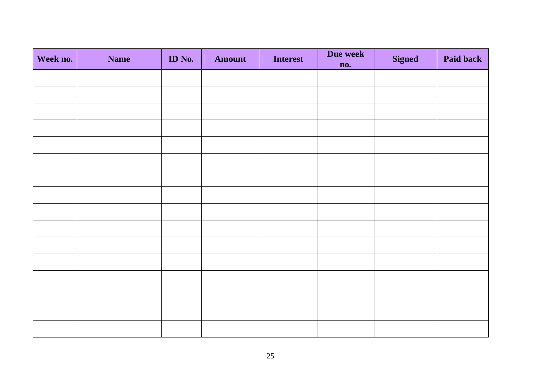| Week no. | <b>Name</b> | <b>ID</b> No. | <b>Amount</b> | <b>Interest</b> | Due week<br>no. | <b>Signed</b> | Paid back |
|----------|-------------|---------------|---------------|-----------------|-----------------|---------------|-----------|
|          |             |               |               |                 |                 |               |           |
|          |             |               |               |                 |                 |               |           |
|          |             |               |               |                 |                 |               |           |
|          |             |               |               |                 |                 |               |           |
|          |             |               |               |                 |                 |               |           |
|          |             |               |               |                 |                 |               |           |
|          |             |               |               |                 |                 |               |           |
|          |             |               |               |                 |                 |               |           |
|          |             |               |               |                 |                 |               |           |
|          |             |               |               |                 |                 |               |           |
|          |             |               |               |                 |                 |               |           |
|          |             |               |               |                 |                 |               |           |
|          |             |               |               |                 |                 |               |           |
|          |             |               |               |                 |                 |               |           |
|          |             |               |               |                 |                 |               |           |
|          |             |               |               |                 |                 |               |           |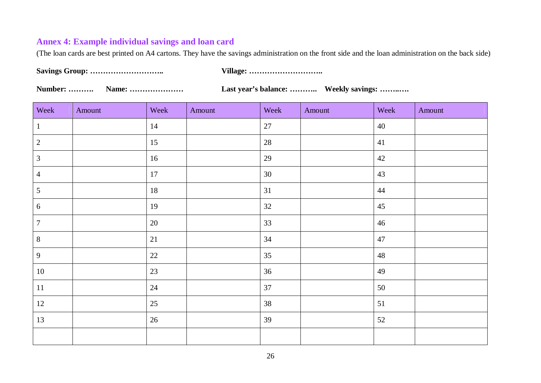### **Annex 4: Example individual savings and loan card**

(The loan cards are best printed on A4 cartons. They have the savings administration on the front side and the loan administration on the back side)

**Savings Group: ……………………….. Village: ………………………..** 

**Number: ………. Name: ………………… Last year's balance: ……….. Weekly savings: ……..….** 

| Week           | Amount | Week   | Amount | Week   | Amount | Week | Amount |
|----------------|--------|--------|--------|--------|--------|------|--------|
| $\mathbf{1}$   |        | 14     |        | $27\,$ |        | 40   |        |
| $\overline{2}$ |        | 15     |        | 28     |        | 41   |        |
| $\mathfrak{Z}$ |        | 16     |        | 29     |        | 42   |        |
| $\overline{4}$ |        | 17     |        | 30     |        | 43   |        |
| $\mathfrak{S}$ |        | $18\,$ |        | 31     |        | 44   |        |
| 6              |        | 19     |        | 32     |        | 45   |        |
| $\tau$         |        | 20     |        | 33     |        | 46   |        |
| $\,8\,$        |        | 21     |        | 34     |        | 47   |        |
| 9              |        | 22     |        | 35     |        | 48   |        |
| 10             |        | 23     |        | 36     |        | 49   |        |
| 11             |        | 24     |        | 37     |        | 50   |        |
| 12             |        | 25     |        | 38     |        | 51   |        |
| 13             |        | 26     |        | 39     |        | 52   |        |
|                |        |        |        |        |        |      |        |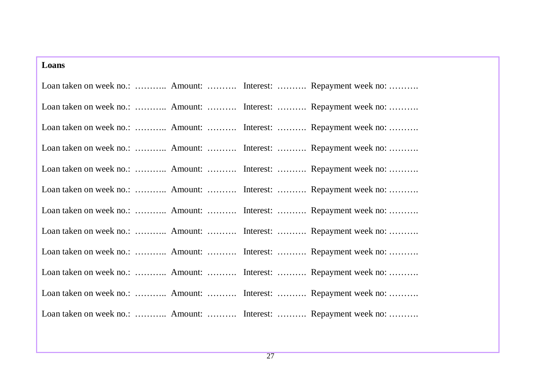| Loans |                                                                 |
|-------|-----------------------------------------------------------------|
|       | Loan taken on week no.:  Amount:  Interest:  Repayment week no: |
|       | Loan taken on week no.:  Amount:  Interest:  Repayment week no: |
|       | Loan taken on week no.:  Amount:  Interest:  Repayment week no: |
|       | Loan taken on week no.:  Amount:  Interest:  Repayment week no: |
|       | Loan taken on week no.:  Amount:  Interest:  Repayment week no: |
|       | Loan taken on week no.:  Amount:  Interest:  Repayment week no: |
|       | Loan taken on week no.:  Amount:  Interest:  Repayment week no: |
|       | Loan taken on week no.:  Amount:  Interest:  Repayment week no: |
|       | Loan taken on week no.:  Amount:  Interest:  Repayment week no: |
|       | Loan taken on week no.:  Amount:  Interest:  Repayment week no: |
|       | Loan taken on week no.:  Amount:  Interest:  Repayment week no: |
|       | Loan taken on week no.:  Amount:  Interest:  Repayment week no: |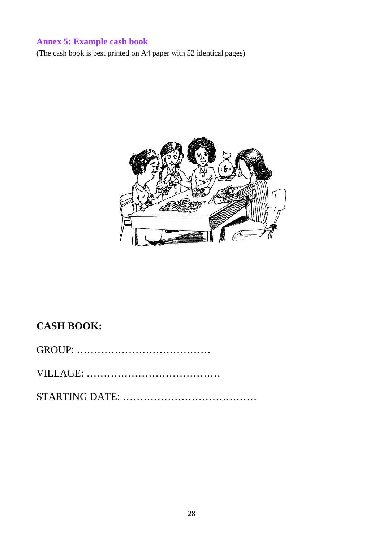## **Annex 5: Example cash book**

(The cash book is best printed on A4 paper with 52 identical pages)



## **CASH BOOK:**

VILLAGE: …………………………………

STARTING DATE: …………………………………